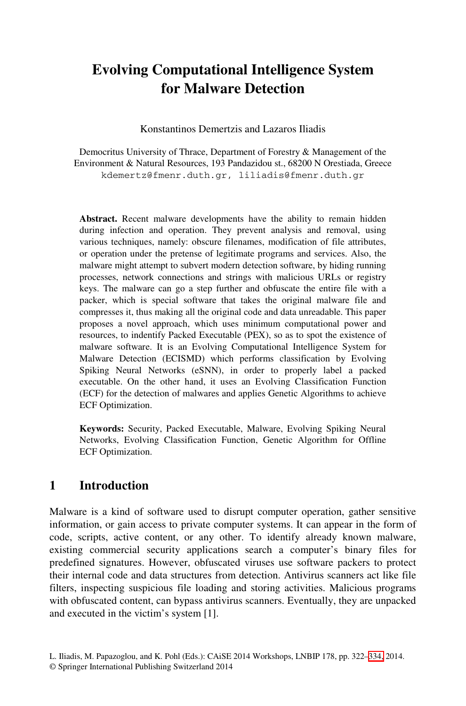# **Evolving Computational Intelligence System for Malware Detection**

Konstantinos Demertzis and Lazaros Iliadis

Democritus University of Thrace, Department of Forestry & Management of the Environment & Natural Resources, 193 Pandazidou st., 68200 N Orestiada, Greece kdemertz@fmenr.duth.gr, liliadis@fmenr.duth.gr

**Abstract.** Recent malware developments have the ability to remain hidden during infection and operation. They prevent analysis and removal, using various techniques, namely: obscure filenames, modification of file attributes, or operation under the pretense of legitimate programs and services. Also, the malware might attempt to subvert modern detection software, by hiding running processes, network connections and strings with malicious URLs or registry keys. The malware can go a step further and obfuscate the entire file with a packer, which is special software that takes the original malware file and compresses it, thus making all the original code and data unreadable. This paper proposes a novel approach, which uses minimum computational power and resources, to indentify Packed Executable (PEX), so as to spot the existence of malware software. It is an Evolving Computational Intelligence System for Malware Detection (ECISMD) which performs classification by Evolving Spiking Neural Networks (eSNN), in order to properly label a packed executable. On the other hand, it uses an Evolving Classification Function (ECF) for the detection of malwares and applies Genetic Algorithms to achieve ECF Optimization.

**Keywords:** Security, Packed Executable, Malware, Evolving Spiking Neural Networks, Evolving Classification Function, Genetic Algorithm for Offline ECF Optimization.

## **1 Introduction**

Malware is a kind of software used to disrupt computer operation, gather sensitive information, or gain access to private computer systems. It can appear in the form of code, scripts, active content, or any other. To identify already known malware, existing commercial security applications search a computer's binary files for predefined signatures. However, obfuscated viruses u[se s](#page-12-0)oftware packers to protect their internal code and data structures from detection. Antivirus scanners act like file filters, inspecting suspicious file loading and storing activities. Malicious programs with obfuscated content, can bypass antivirus scanners. Eventually, they are unpacked and executed in the victim's system [1].

L. Iliadis, M. Papazoglou, and K. Pohl (Eds.): CAiSE 2014 Workshops, LNBIP 178, pp. 322–334, 2014.

<sup>©</sup> Springer International Publishing Switzerland 2014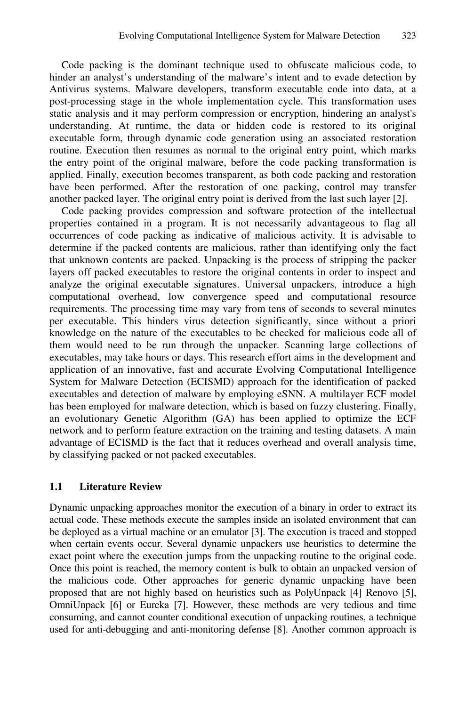Code packing is the dominant technique used to obfuscate malicious code, to hinder an analyst's understanding of the malware's intent and to evade detection by Antivirus systems. Malware developers, transform executable code into data, at a post-processing stage in the whole implementation cycle. This transformation uses static analysis and it may perform compression or encryption, hindering an analyst's understanding. At runtime, the data or hidden code is restored to its original executable form, through dynamic code generation using an associated restoration routine. Execution then resumes as normal to the original entry point, which marks the entry point of the original malware, before the code packing transformation is applied. Finally, execution becomes transparent, as both code packing and restoration have been performed. After the restoration of one packing, control may transfer another packed layer. The original entry point is derived from the last such layer [2].

Code packing provides compression and software protection of the intellectual properties contained in a program. It is not necessarily advantageous to flag all occurrences of code packing as indicative of malicious activity. It is advisable to determine if the packed contents are malicious, rather than identifying only the fact that unknown contents are packed. Unpacking is the process of stripping the packer layers off packed executables to restore the original contents in order to inspect and analyze the original executable signatures. Universal unpackers, introduce a high computational overhead, low convergence speed and computational resource requirements. The processing time may vary from tens of seconds to several minutes per executable. This hinders virus detection significantly, since without a priori knowledge on the nature of the executables to be checked for malicious code all of them would need to be run through the unpacker. Scanning large collections of executables, may take hours or days. This research effort aims in the development and application of an innovative, fast and accurate Evolving Computational Intelligence System for Malware Detection (ECISMD) approach for the identification of packed executables and detection of malware by employing eSNN. A multilayer ECF model has been employed for malware detection, which is based on fuzzy clustering. Finally, an evolutionary Genetic Algorithm (GA) has been applied to optimize the ECF network and to perform feature extraction on the training and testing datasets. A main advantage of ECISMD is the fact that it reduces overhead and overall analysis time, by classifying packed or not packed executables.

### **1.1 Literature Review**

Dynamic unpacking approaches monitor the execution of a binary in order to extract its actual code. These methods execute the samples inside an isolated environment that can be deployed as a virtual machine or an emulator [3]. The execution is traced and stopped when certain events occur. Several dynamic unpackers use heuristics to determine the exact point where the execution jumps from the unpacking routine to the original code. Once this point is reached, the memory content is bulk to obtain an unpacked version of the malicious code. Other approaches for generic dynamic unpacking have been proposed that are not highly based on heuristics such as PolyUnpack [4] Renovo [5], OmniUnpack [6] or Eureka [7]. However, these methods are very tedious and time consuming, and cannot counter conditional execution of unpacking routines, a technique used for anti-debugging and anti-monitoring defense [8]. Another common approach is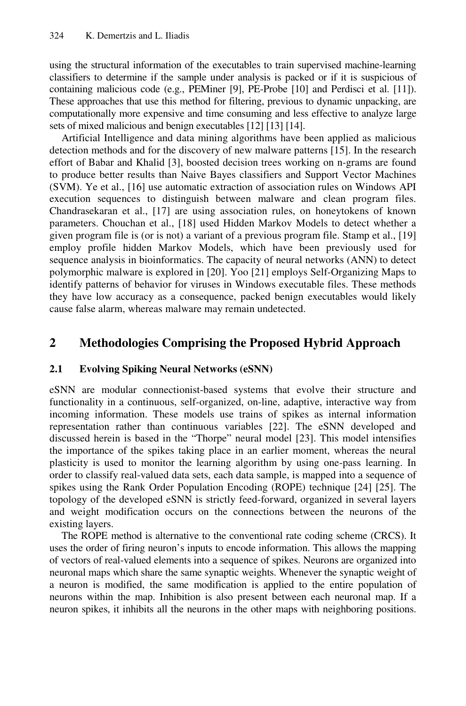using the structural information of the executables to train supervised machine-learning classifiers to determine if the sample under analysis is packed or if it is suspicious of containing malicious code (e.g., PEMiner [9], PE-Probe [10] and Perdisci et al. [11]). These approaches that use this method for filtering, previous to dynamic unpacking, are computationally more expensive and time consuming and less effective to analyze large sets of mixed malicious and benign executables [12] [13] [14].

Artificial Intelligence and data mining algorithms have been applied as malicious detection methods and for the discovery of new malware patterns [15]. In the research effort of Babar and Khalid [3], boosted decision trees working on n-grams are found to produce better results than Naive Bayes classifiers and Support Vector Machines (SVM). Ye et al., [16] use automatic extraction of association rules on Windows API execution sequences to distinguish between malware and clean program files. Chandrasekaran et al., [17] are using association rules, on honeytokens of known parameters. Chouchan et al., [18] used Hidden Markov Models to detect whether a given program file is (or is not) a variant of a previous program file. Stamp et al., [19] employ profile hidden Markov Models, which have been previously used for sequence analysis in bioinformatics. The capacity of neural networks (ANN) to detect polymorphic malware is explored in [20]. Yoo [21] employs Self-Organizing Maps to identify patterns of behavior for viruses in Windows executable files. These methods they have low accuracy as a consequence, packed benign executables would likely cause false alarm, whereas malware may remain undetected.

# **2 Methodologies Comprising the Proposed Hybrid Approach**

### **2.1 Evolving Spiking Neural Networks (eSNN)**

eSNN are modular connectionist-based systems that evolve their structure and functionality in a continuous, self-organized, on-line, adaptive, interactive way from incoming information. These models use trains of spikes as internal information representation rather than continuous variables [22]. The eSNN developed and discussed herein is based in the "Thorpe" neural model [23]. This model intensifies the importance of the spikes taking place in an earlier moment, whereas the neural plasticity is used to monitor the learning algorithm by using one-pass learning. In order to classify real-valued data sets, each data sample, is mapped into a sequence of spikes using the Rank Order Population Encoding (ROPE) technique [24] [25]. The topology of the developed eSNN is strictly feed-forward, organized in several layers and weight modification occurs on the connections between the neurons of the existing layers.

The ROPE method is alternative to the conventional rate coding scheme (CRCS). It uses the order of firing neuron's inputs to encode information. This allows the mapping of vectors of real-valued elements into a sequence of spikes. Neurons are organized into neuronal maps which share the same synaptic weights. Whenever the synaptic weight of a neuron is modified, the same modification is applied to the entire population of neurons within the map. Inhibition is also present between each neuronal map. If a neuron spikes, it inhibits all the neurons in the other maps with neighboring positions.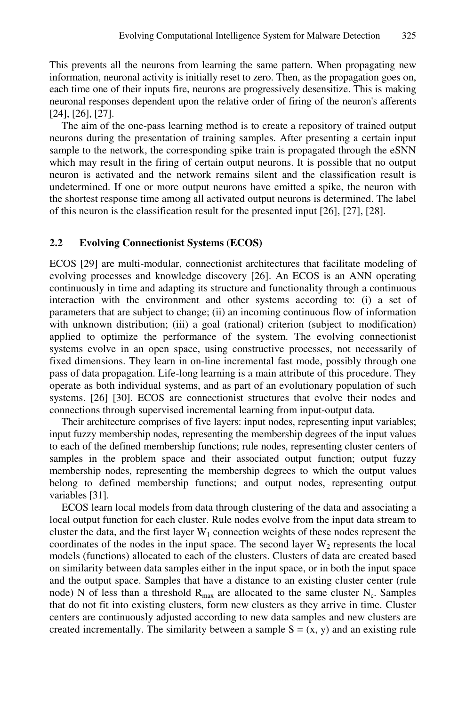This prevents all the neurons from learning the same pattern. When propagating new information, neuronal activity is initially reset to zero. Then, as the propagation goes on, each time one of their inputs fire, neurons are progressively desensitize. This is making neuronal responses dependent upon the relative order of firing of the neuron's afferents [24], [26], [27].

The aim of the one-pass learning method is to create a repository of trained output neurons during the presentation of training samples. After presenting a certain input sample to the network, the corresponding spike train is propagated through the eSNN which may result in the firing of certain output neurons. It is possible that no output neuron is activated and the network remains silent and the classification result is undetermined. If one or more output neurons have emitted a spike, the neuron with the shortest response time among all activated output neurons is determined. The label of this neuron is the classification result for the presented input [26], [27], [28].

#### **2.2 Evolving Connectionist Systems (ECOS)**

ECOS [29] are multi-modular, connectionist architectures that facilitate modeling of evolving processes and knowledge discovery [26]. An ECOS is an ANN operating continuously in time and adapting its structure and functionality through a continuous interaction with the environment and other systems according to: (i) a set of parameters that are subject to change; (ii) an incoming continuous flow of information with unknown distribution; (iii) a goal (rational) criterion (subject to modification) applied to optimize the performance of the system. The evolving connectionist systems evolve in an open space, using constructive processes, not necessarily of fixed dimensions. They learn in on-line incremental fast mode, possibly through one pass of data propagation. Life-long learning is a main attribute of this procedure. They operate as both individual systems, and as part of an evolutionary population of such systems. [26] [30]. ECOS are connectionist structures that evolve their nodes and connections through supervised incremental learning from input-output data.

Their architecture comprises of five layers: input nodes, representing input variables; input fuzzy membership nodes, representing the membership degrees of the input values to each of the defined membership functions; rule nodes, representing cluster centers of samples in the problem space and their associated output function; output fuzzy membership nodes, representing the membership degrees to which the output values belong to defined membership functions; and output nodes, representing output variables [31].

ECOS learn local models from data through clustering of the data and associating a local output function for each cluster. Rule nodes evolve from the input data stream to cluster the data, and the first layer  $W_1$  connection weights of these nodes represent the coordinates of the nodes in the input space. The second layer  $W_2$  represents the local models (functions) allocated to each of the clusters. Clusters of data are created based on similarity between data samples either in the input space, or in both the input space and the output space. Samples that have a distance to an existing cluster center (rule node) N of less than a threshold  $R_{max}$  are allocated to the same cluster  $N_c$ . Samples that do not fit into existing clusters, form new clusters as they arrive in time. Cluster centers are continuously adjusted according to new data samples and new clusters are created incrementally. The similarity between a sample  $S = (x, y)$  and an existing rule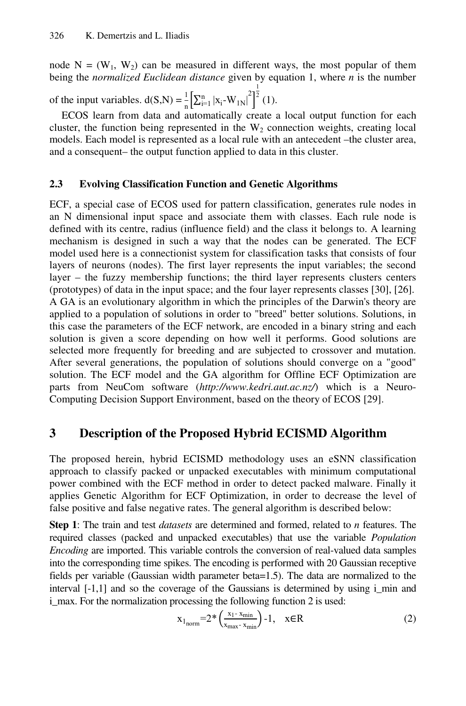node  $N = (W_1, W_2)$  can be measured in different ways, the most popular of them being the *normalized Euclidean distance* given by equation 1, where *n* is the number

of the input variables.  $d(S,N) = \frac{1}{n} \left[ \sum_{i=1}^{n} |x_i - W_{1N}| \right]$  $\left.\begin{matrix}2\end{matrix}\right]$  $\frac{1}{2}$  (1).

ECOS learn from data and automatically create a local output function for each cluster, the function being represented in the  $W_2$  connection weights, creating local models. Each model is represented as a local rule with an antecedent –the cluster area, and a consequent– the output function applied to data in this cluster.

### **2.3 Evolving Classification Function and Genetic Algorithms**

ECF, a special case of ECOS used for pattern classification, generates rule nodes in an N dimensional input space and associate them with classes. Each rule node is defined with its centre, radius (influence field) and the class it belongs to. A learning mechanism is designed in such a way that the nodes can be generated. The ECF model used here is a connectionist system for classification tasks that consists of four layers of neurons (nodes). The first layer represents the input variables; the second layer – the fuzzy membership functions; the third layer represents clusters centers (prototypes) of data in the input space; and the four layer represents classes [30], [26]. A GA is an evolutionary algorithm in which the principles of the Darwin's theory are applied to a population of solutions in order to "breed" better solutions. Solutions, in this case the parameters of the ECF network, are encoded in a binary string and each solution is given a score depending on how well it performs. Good solutions are selected more frequently for breeding and are subjected to crossover and mutation. After several generations, the population of solutions should converge on a "good" solution. The ECF model and the GA algorithm for Offline ECF Optimization are parts from NeuCom software (*http://www.kedri.aut.ac.nz/*) which is a Neuro-Computing Decision Support Environment, based on the theory of ECOS [29].

# **3 Description of the Proposed Hybrid ECISMD Algorithm**

The proposed herein, hybrid ECISMD methodology uses an eSNN classification approach to classify packed or unpacked executables with minimum computational power combined with the ECF method in order to detect packed malware. Finally it applies Genetic Algorithm for ECF Optimization, in order to decrease the level of false positive and false negative rates. The general algorithm is described below:

**Step 1**: The train and test *datasets* are determined and formed, related to *n* features. The required classes (packed and unpacked executables) that use the variable *Population Encoding* are imported. This variable controls the conversion of real-valued data samples into the corresponding time spikes. The encoding is performed with 20 Gaussian receptive fields per variable (Gaussian width parameter beta=1.5). The data are normalized to the interval [-1,1] and so the coverage of the Gaussians is determined by using i\_min and i\_max. For the normalization processing the following function 2 is used:

$$
x_{1norm} = 2 * \left(\frac{x_1 - x_{\min}}{x_{\max} - x_{\min}}\right) - 1, \quad x \in R
$$
 (2)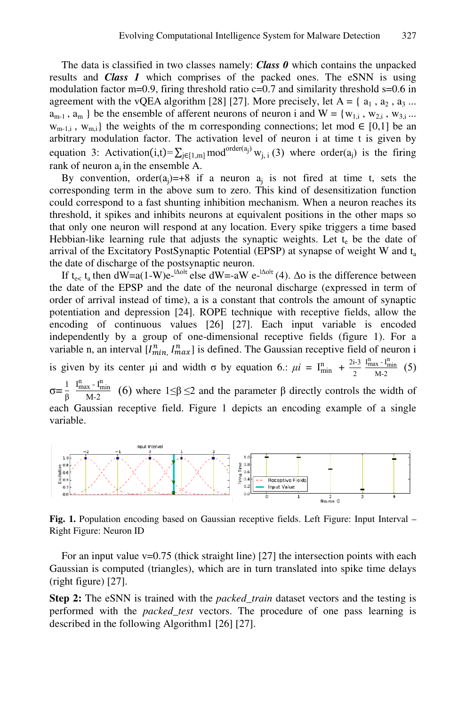The data is classified in two classes namely: **Class 0** which contains the unpacked results and *Class 1* which comprises of the packed ones. The eSNN is using modulation factor m=0.9, firing threshold ratio  $c=0.7$  and similarity threshold s=0.6 in agreement with the vQEA algorithm [28] [27]. More precisely, let  $A = \{a_1, a_2, a_3 \dots\}$  $a_{m-1}$ ,  $a_m$  } be the ensemble of afferent neurons of neuron i and  $W = \{w_{1,i}, w_{2,i}, w_{3,i} \dots \}$  $w_{m-1,i}$ ,  $w_{m,i}$ } the weights of the m corresponding connections; let mod  $\in [0,1]$  be an arbitrary modulation factor. The activation level of neuron i at time t is given by equation 3: Activation(i,t)= $\sum_{j \in [1,m]}$  mod<sup>order(a<sub>j</sub>)</sup> w<sub>j, i</sub> (3) where order(a<sub>j</sub>) is the firing rank of neuron  $a_j$  in the ensemble A.

By convention, order(a<sub>j</sub>)=+8 if a neuron  $a_j$  is not fired at time t, sets the corresponding term in the above sum to zero. This kind of desensitization function could correspond to a fast shunting inhibition mechanism. When a neuron reaches its threshold, it spikes and inhibits neurons at equivalent positions in the other maps so that only one neuron will respond at any location. Every spike triggers a time based Hebbian-like learning rule that adjusts the synaptic weights. Let  $t_e$  be the date of arrival of the Excitatory PostSynaptic Potential (EPSP) at synapse of weight W and t<sub>a</sub> the date of discharge of the postsynaptic neuron.

If t<sub>e<</sub> t<sub>a</sub> then dW=a(1-W)e<sup>- $\Delta$ o<sup>|t</sup> else dW=-aW e<sup>- $\Delta$ o|t</sup> (4).  $\Delta$ o is the difference between</sup> the date of the EPSP and the date of the neuronal discharge (expressed in term m of order of arrival instead of time), a is a constant that controls the amount of synaptic potentiation and depression [24]. ROPE technique with receptive fields, allow the encoding of continuous values [26] [27]. Each input variable is enco ded independently by a group of one-dimensional receptive fields (figure 1). For a variable n, an interval  $[I_{min}^n, I_{max}^n]$  is defined. The Gaussian receptive field of neuron i is given by its center  $\mu$ i and width  $\sigma$  by equation 6.:  $\mu$ *i* =  $I_{\text{min}}^n$  +  $\frac{2^{i-3}}{2}$  $\sigma = \frac{1}{\beta}$  $I_{\text{max}}^n - I_{\text{min}}^n$  (6) where  $1 \le \beta \le 2$  and the parameter  $\beta$  directly controls the width of each Gaussian receptive field. Figure 1 depicts an encoding example of a single variable. 2  $I_{\text{max}}^n - I_{\text{min}}^n$  $\frac{1 \times 1 \text{ min}}{M-2}$  (5)



Fig. 1. Population encoding based on Gaussian receptive fields. Left Figure: Input Interval -Right Figure: Neuron ID

For an input value  $v=0.75$  (thick straight line) [27] the intersection points with each Gaussian is computed (triangles), which are in turn translated into spike time delays (right figure) [27].

**Step 2:** The eSNN is trained with the *packed\_train* dataset vectors and the testing is performed with the *packed\_test* vectors. The procedure of one pass learning is described in the following A Algorithm1 [26] [27].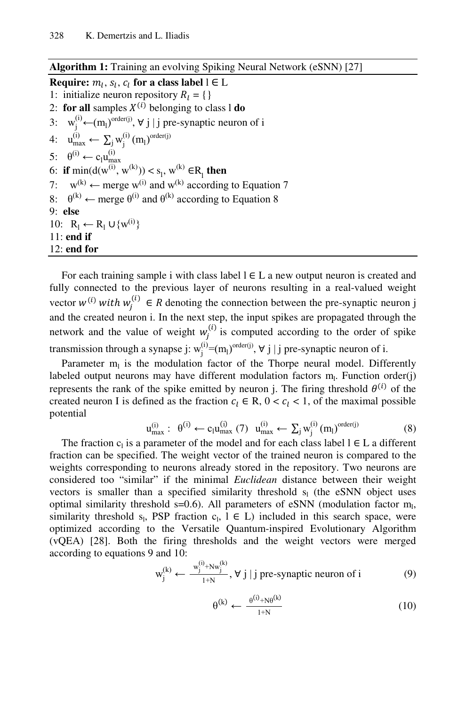#### **Algorithm 1:** Training an evolving Spiking Neural Network (eSNN) [27]

**Require:**  $m_l$ ,  $s_l$ ,  $c_l$  for a class label  $l \in L$ 1: initialize neuron repository  $R_1 = \{\}\$ 2: **for all** samples  $X^{(i)}$  belonging to class 1 **do** 3:  $w_j^{(i)}$ ←(m<sub>1</sub>)<sup>order(j)</sup>, ∀ j | j pre-synaptic neuron of i 4:  $u_{max}^{(i)} \leftarrow \sum_j w_j^{(i)} (m_l)^{\text{order}(j)}$ 5:  $\theta^{(i)} \leftarrow c_1 u_{\text{max}}^{(i)}$ 6: **if** min(d(w<sup>(i)</sup>, w<sup>(k)</sup>)) < s<sub>1</sub>, w<sup>(k)</sup>  $\in$  R<sub>1</sub> **then** 7:  $w^{(k)} \leftarrow$  merge  $w^{(i)}$  and  $w^{(k)}$  according to Equation 7 8:  $\theta^{(k)} \leftarrow$  merge  $\theta^{(i)}$  and  $\theta^{(k)}$  according to Equation 8 9: **else**  10:  $R_1 \leftarrow R_1 \cup \{w^{(i)}\}$ 11: **end if** 12: **end for** 

For each training sample i with class label  $l \in L$  a new output neuron is created and fully connected to the previous layer of neurons resulting in a real-valued weight vector  $w^{(i)}$  with  $w_j^{(i)} \in R$  denoting the connection between the pre-synaptic neuron j and the created neuron i. In the next step, the input spikes are propagated through the network and the value of weight  $w_j^{(i)}$  is computed according to the order of spike transmission through a synapse j:  $w_j^{(i)} = (m_l)^{\text{order}(j)}$ ,  $\forall j | j$  pre-synaptic neuron of i.

Parameter  $m<sub>l</sub>$  is the modulation factor of the Thorpe neural model. Differently labeled output neurons may have different modulation factors  $m_l$ . Function order(j) represents the rank of the spike emitted by neuron j. The firing threshold  $\theta^{(i)}$  of the created neuron I is defined as the fraction  $c_l \in \mathbb{R}$ ,  $0 < c_l < 1$ , of the maximal possible potential

$$
u_{max}^{(i)}: \ \theta^{(i)} \leftarrow c_1 u_{max}^{(i)} \ (7) \ \ u_{max}^{(i)} \leftarrow \sum_j w_j^{(i)} \ (m_l)^{order(j)} \tag{8}
$$

The fraction  $c_1$  is a parameter of the model and for each class label  $l \in L$  a different fraction can be specified. The weight vector of the trained neuron is compared to the weights corresponding to neurons already stored in the repository. Two neurons are considered too "similar" if the minimal *Euclidean* distance between their weight vectors is smaller than a specified similarity threshold  $s<sub>l</sub>$  (the eSNN object uses optimal similarity threshold s=0.6). All parameters of eSNN (modulation factor  $m_l$ , similarity threshold  $s_l$ , PSP fraction  $c_l$ ,  $l \in L$ ) included in this search space, were optimized according to the Versatile Quantum-inspired Evolutionary Algorithm (vQEA) [28]. Both the firing thresholds and the weight vectors were merged according to equations 9 and 10:

$$
w_j^{(k)} \leftarrow \frac{w_j^{(i)} + Nw_j^{(k)}}{1+N}, \forall j \mid j \text{ pre-synaptic neuron of } i \tag{9}
$$

$$
\theta^{(k)} \leftarrow \frac{\theta^{(i)} + N\theta^{(k)}}{1+N} \tag{10}
$$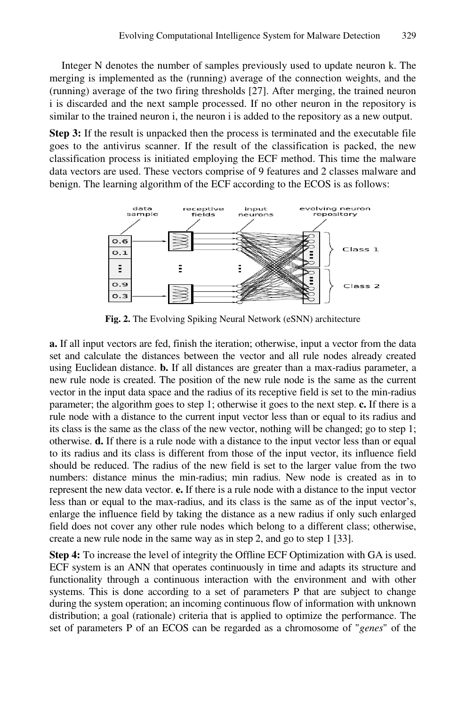Integer N denotes the number of samples previously used to update neuron k. The merging is implemented as the (running) average of the connection weights, and the (running) average of the two firing thresholds [27]. After merging, the trained neuron i is discarded and the next sample processed. If no other neuron in the repository is similar to the trained neuron i, the neuron i is added to the repository as a new output.

**Step 3:** If the result is unpacked then the process is terminated and the executable file goes to the antivirus scanner. If the result of the classification is packed, the new classification process is initiated employing the ECF method. This time the malware data vectors are used. These vectors comprise of 9 features and 2 classes malware and benign. The learning algorithm of the ECF according to the ECOS is as follows:



**Fig. 2.** The Evolving Spiking Neural Network (eSNN) architecture

**a.** If all input vectors are fed, finish the iteration; otherwise, input a vector from the data set and calculate the distances between the vector and all rule nodes already created using Euclidean distance. **b.** If all distances are greater than a max-radius parameter, a new rule node is created. The position of the new rule node is the same as the current vector in the input data space and the radius of its receptive field is set to the min-radius parameter; the algorithm goes to step 1; otherwise it goes to the next step. **c.** If there is a rule node with a distance to the current input vector less than or equal to its radius and its class is the same as the class of the new vector, nothing will be changed; go to step 1; otherwise. **d.** If there is a rule node with a distance to the input vector less than or equal to its radius and its class is different from those of the input vector, its influence field should be reduced. The radius of the new field is set to the larger value from the two numbers: distance minus the min-radius; min radius. New node is created as in to represent the new data vector. **e.** If there is a rule node with a distance to the input vector less than or equal to the max-radius, and its class is the same as of the input vector's, enlarge the influence field by taking the distance as a new radius if only such enlarged field does not cover any other rule nodes which belong to a different class; otherwise, create a new rule node in the same way as in step 2, and go to step 1 [33].

**Step 4:** To increase the level of integrity the Offline ECF Optimization with GA is used. ECF system is an ANN that operates continuously in time and adapts its structure and functionality through a continuous interaction with the environment and with other systems. This is done according to a set of parameters P that are subject to change during the system operation; an incoming continuous flow of information with unknown distribution; a goal (rationale) criteria that is applied to optimize the performance. The set of parameters P of an ECOS can be regarded as a chromosome of "*genes*" of the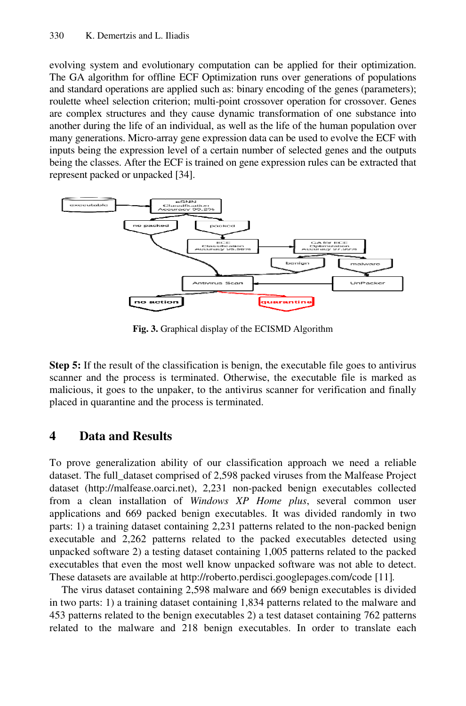evolving system and evolutionary computation can be applied for their optimization. The GA algorithm for offline ECF Optimization runs over generations of populations and standard operations are applied such as: binary encoding of the genes (parameters); roulette wheel selection criterion; multi-point crossover operation for crossover. Genes are complex structures and they cause dynamic transformation of one substance into another during the life of an individual, as well as the life of the human population over many generations. Micro-array gene expression data can be used to evolve the ECF with inputs being the expression level of a certain number of selected genes and the outputs being the classes. After the E ECF is trained on gene expression rules can be extracted that represent packed or unpacke ed [34].



**Fig. 3.** G Graphical display of the ECISMD Algorithm

Step 5: If the result of the classification is benign, the executable file goes to antivirus scanner and the process is terminated. Otherwise, the executable file is marked as malicious, it goes to the unpaker, to the antivirus scanner for verification and finally placed in quarantine and the process is terminated.

# **4 Data and Result ts**

To prove generalization ability of our classification approach we need a reliable dataset. The full\_dataset comprised of 2,598 packed viruses from the Malfease Project dataset (http://malfease.oarci.net), 2,231 non-packed benign executables collected from a clean installation of *Windows XP Home plus*, several common user applications and 669 packed benign executables. It was divided randomly in two parts: 1) a training dataset containing 2,231 patterns related to the non-packed benign executable and 2,262 patterns related to the packed executables detected using unpacked software 2) a testing dataset containing 1,005 patterns related to the packed executables that even the most well know unpacked software was not able to detect. These datasets are available at http://roberto.perdisci.googlepages.com/code [11].

The virus dataset containing 2,598 malware and 669 benign executables is divided in two parts: 1) a training dataset containing 1,834 patterns related to the malware and 453 patterns related to the benign executables 2) a test dataset containing 762 patterns related to the malware and 218 benign executables. In order to translate each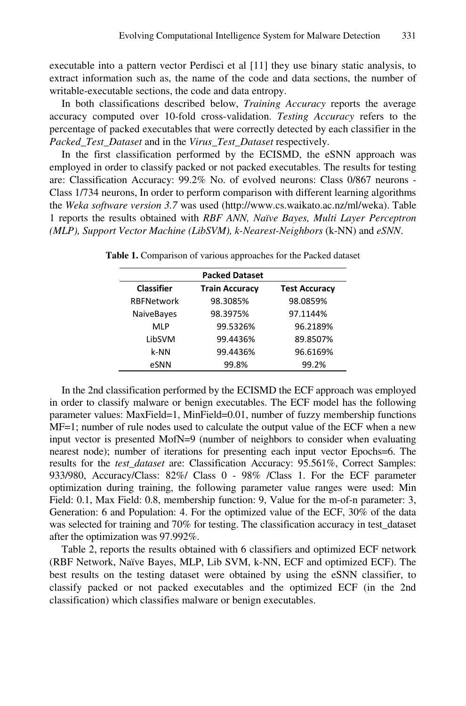executable into a pattern vector Perdisci et al [11] they use binary static analysis, to extract information such as, the name of the code and data sections, the number of writable-executable sections, the code and data entropy.

In both classifications described below, *Training Accuracy* reports the average accuracy computed over 10-fold cross-validation. *Testing Accuracy* refers to the percentage of packed executables that were correctly detected by each classifier in the *Packed\_Test\_Dataset* and in the *Virus\_Test\_Dataset* respectively.

In the first classification performed by the ECISMD, the eSNN approach was employed in order to classify packed or not packed executables. The results for testing are: Classification Accuracy: 99.2% No. of evolved neurons: Class 0/867 neurons - Class 1/734 neurons, In order to perform comparison with different learning algorithms the *Weka software version 3.7* was used (http://www.cs.waikato.ac.nz/ml/weka). Table 1 reports the results obtained with *RBF ANN, Naïve Bayes, Multi Layer Perceptron (MLP), Support Vector Machine (LibSVM), k-Nearest-Neighbors (k-NN) and eSNN.* 

|                   | <b>Packed Dataset</b> |                      |
|-------------------|-----------------------|----------------------|
| <b>Classifier</b> | <b>Train Accuracy</b> | <b>Test Accuracy</b> |
| RBFNetwork        | 98.3085%              | 98.0859%             |
| <b>NaiveBayes</b> | 98.3975%              | 97.1144%             |
| MLP               | 99.5326%              | 96.2189%             |
| LibSVM            | 99.4436%              | 89.8507%             |
| k-NN              | 99.4436%              | 96.6169%             |
| eSNN              | 99.8%                 | 99.2%                |

**Table 1.** Comparison of various approaches for the Packed dataset

In the 2nd classification performed by the ECISMD the ECF approach was employed in order to classify malware or benign executables. The ECF model has the following parameter values: MaxField=1, MinField=0.01, number of fuzzy membership functions MF=1; number of rule nodes used to calculate the output value of the ECF when a new input vector is presented MofN=9 (number of neighbors to consider when evaluating nearest node); number of iterations for presenting each input vector Epochs=6. The results for the *test\_dataset* are: Classification Accuracy: 95.561%, Correct Samples: 933/980, Accuracy/Class: 82%/ Class 0 - 98% /Class 1. For the ECF parameter optimization during training, the following parameter value ranges were used: Min Field: 0.1, Max Field: 0.8, membership function: 9, Value for the m-of-n parameter: 3, Generation: 6 and Population: 4. For the optimized value of the ECF, 30% of the data was selected for training and 70% for testing. The classification accuracy in test\_dataset after the optimization was 97.992%.

Table 2, reports the results obtained with 6 classifiers and optimized ECF network (RBF Network, Naïve Bayes, MLP, Lib SVM, k-NN, ECF and optimized ECF). The best results on the testing dataset were obtained by using the eSNN classifier, to classify packed or not packed executables and the optimized ECF (in the 2nd classification) which classifies malware or benign executables.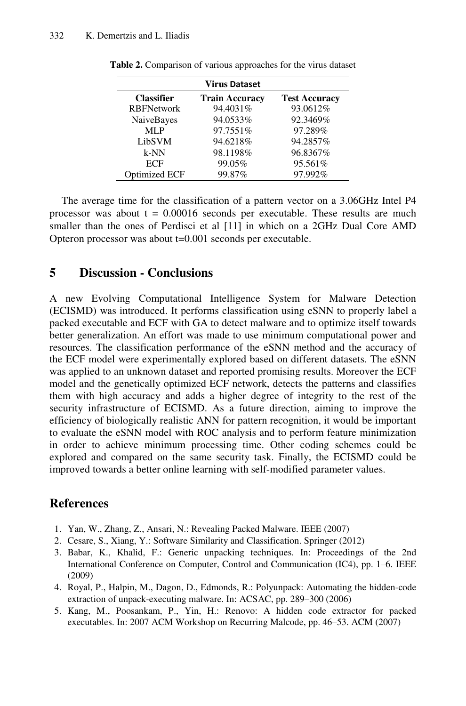| <b>Virus Dataset</b> |                       |                      |
|----------------------|-----------------------|----------------------|
| <b>Classifier</b>    | <b>Train Accuracy</b> | <b>Test Accuracy</b> |
| <b>RBFNetwork</b>    | 94.4031%              | 93.0612%             |
| NaiveBayes           | 94.0533%              | 92.3469%             |
| MLP                  | 97.7551%              | 97.289%              |
| LibSVM               | 94.6218%              | 94.2857%             |
| $k-NN$               | 98.1198%              | 96.8367%             |
| <b>ECF</b>           | 99.05%                | 95.561%              |
| Optimized ECF        | 99.87%                | 97.992%              |

**Table 2.** Comparison of various approaches for the virus dataset

The average time for the classification of a pattern vector on a 3.06GHz Intel P4 processor was about  $t = 0.00016$  seconds per executable. These results are much smaller than the ones of Perdisci et al [11] in which on a 2GHz Dual Core AMD Opteron processor was about t=0.001 seconds per executable.

## **5 Discussion - Conclusions**

A new Evolving Computational Intelligence System for Malware Detection (ECISMD) was introduced. It performs classification using eSNN to properly label a packed executable and ECF with GA to detect malware and to optimize itself towards better generalization. An effort was made to use minimum computational power and resources. The classification performance of the eSNN method and the accuracy of the ECF model were experimentally explored based on different datasets. The eSNN was applied to an unknown dataset and reported promising results. Moreover the ECF model and the genetically optimized ECF network, detects the patterns and classifies them with high accuracy and adds a higher degree of integrity to the rest of the security infrastructure of ECISMD. As a future direction, aiming to improve the efficiency of biologically realistic ANN for pattern recognition, it would be important to evaluate the eSNN model with ROC analysis and to perform feature minimization in order to achieve minimum processing time. Other coding schemes could be explored and compared on the same security task. Finally, the ECISMD could be improved towards a better online learning with self-modified parameter values.

## **References**

- 1. Yan, W., Zhang, Z., Ansari, N.: Revealing Packed Malware. IEEE (2007)
- 2. Cesare, S., Xiang, Y.: Software Similarity and Classification. Springer (2012)
- 3. Babar, K., Khalid, F.: Generic unpacking techniques. In: Proceedings of the 2nd International Conference on Computer, Control and Communication (IC4), pp. 1–6. IEEE (2009)
- 4. Royal, P., Halpin, M., Dagon, D., Edmonds, R.: Polyunpack: Automating the hidden-code extraction of unpack-executing malware. In: ACSAC, pp. 289–300 (2006)
- 5. Kang, M., Poosankam, P., Yin, H.: Renovo: A hidden code extractor for packed executables. In: 2007 ACM Workshop on Recurring Malcode, pp. 46–53. ACM (2007)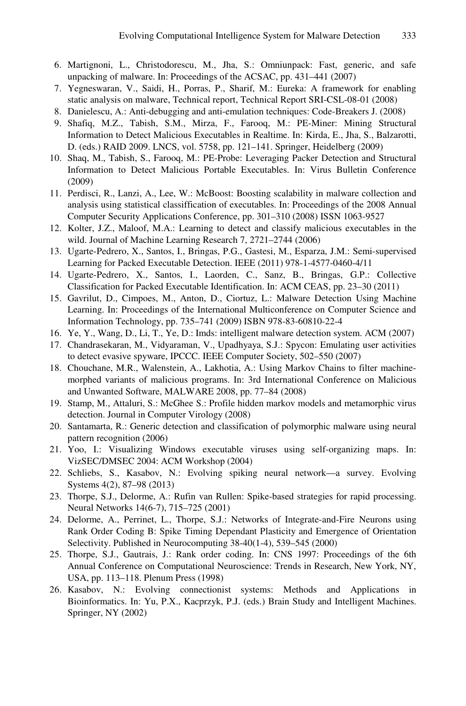- 6. Martignoni, L., Christodorescu, M., Jha, S.: Omniunpack: Fast, generic, and safe unpacking of malware. In: Proceedings of the ACSAC, pp. 431–441 (2007)
- 7. Yegneswaran, V., Saidi, H., Porras, P., Sharif, M.: Eureka: A framework for enabling static analysis on malware, Technical report, Technical Report SRI-CSL-08-01 (2008)
- 8. Danielescu, A.: Anti-debugging and anti-emulation techniques: Code-Breakers J. (2008)
- 9. Shafiq, M.Z., Tabish, S.M., Mirza, F., Farooq, M.: PE-Miner: Mining Structural Information to Detect Malicious Executables in Realtime. In: Kirda, E., Jha, S., Balzarotti, D. (eds.) RAID 2009. LNCS, vol. 5758, pp. 121–141. Springer, Heidelberg (2009)
- 10. Shaq, M., Tabish, S., Farooq, M.: PE-Probe: Leveraging Packer Detection and Structural Information to Detect Malicious Portable Executables. In: Virus Bulletin Conference (2009)
- 11. Perdisci, R., Lanzi, A., Lee, W.: McBoost: Boosting scalability in malware collection and analysis using statistical classiffication of executables. In: Proceedings of the 2008 Annual Computer Security Applications Conference, pp. 301–310 (2008) ISSN 1063-9527
- 12. Kolter, J.Z., Maloof, M.A.: Learning to detect and classify malicious executables in the wild. Journal of Machine Learning Research 7, 2721–2744 (2006)
- 13. Ugarte-Pedrero, X., Santos, I., Bringas, P.G., Gastesi, M., Esparza, J.M.: Semi-supervised Learning for Packed Executable Detection. IEEE (2011) 978-1-4577-0460-4/11
- 14. Ugarte-Pedrero, X., Santos, I., Laorden, C., Sanz, B., Bringas, G.P.: Collective Classification for Packed Executable Identification. In: ACM CEAS, pp. 23–30 (2011)
- 15. Gavrilut, D., Cimpoes, M., Anton, D., Ciortuz, L.: Malware Detection Using Machine Learning. In: Proceedings of the International Multiconference on Computer Science and Information Technology, pp. 735–741 (2009) ISBN 978-83-60810-22-4
- 16. Ye, Y., Wang, D., Li, T., Ye, D.: Imds: intelligent malware detection system. ACM (2007)
- 17. Chandrasekaran, M., Vidyaraman, V., Upadhyaya, S.J.: Spycon: Emulating user activities to detect evasive spyware, IPCCC. IEEE Computer Society, 502–550 (2007)
- 18. Chouchane, M.R., Walenstein, A., Lakhotia, A.: Using Markov Chains to filter machinemorphed variants of malicious programs. In: 3rd International Conference on Malicious and Unwanted Software, MALWARE 2008, pp. 77–84 (2008)
- 19. Stamp, M., Attaluri, S.: McGhee S.: Profile hidden markov models and metamorphic virus detection. Journal in Computer Virology (2008)
- 20. Santamarta, R.: Generic detection and classification of polymorphic malware using neural pattern recognition (2006)
- 21. Yoo, I.: Visualizing Windows executable viruses using self-organizing maps. In: VizSEC/DMSEC 2004: ACM Workshop (2004)
- 22. Schliebs, S., Kasabov, N.: Evolving spiking neural network—a survey. Evolving Systems 4(2), 87–98 (2013)
- 23. Thorpe, S.J., Delorme, A.: Rufin van Rullen: Spike-based strategies for rapid processing. Neural Networks 14(6-7), 715–725 (2001)
- 24. Delorme, A., Perrinet, L., Thorpe, S.J.: Networks of Integrate-and-Fire Neurons using Rank Order Coding B: Spike Timing Dependant Plasticity and Emergence of Orientation Selectivity. Published in Neurocomputing 38-40(1-4), 539–545 (2000)
- 25. Thorpe, S.J., Gautrais, J.: Rank order coding. In: CNS 1997: Proceedings of the 6th Annual Conference on Computational Neuroscience: Trends in Research, New York, NY, USA, pp. 113–118. Plenum Press (1998)
- 26. Kasabov, N.: Evolving connectionist systems: Methods and Applications in Bioinformatics. In: Yu, P.X., Kacprzyk, P.J. (eds.) Brain Study and Intelligent Machines. Springer, NY (2002)